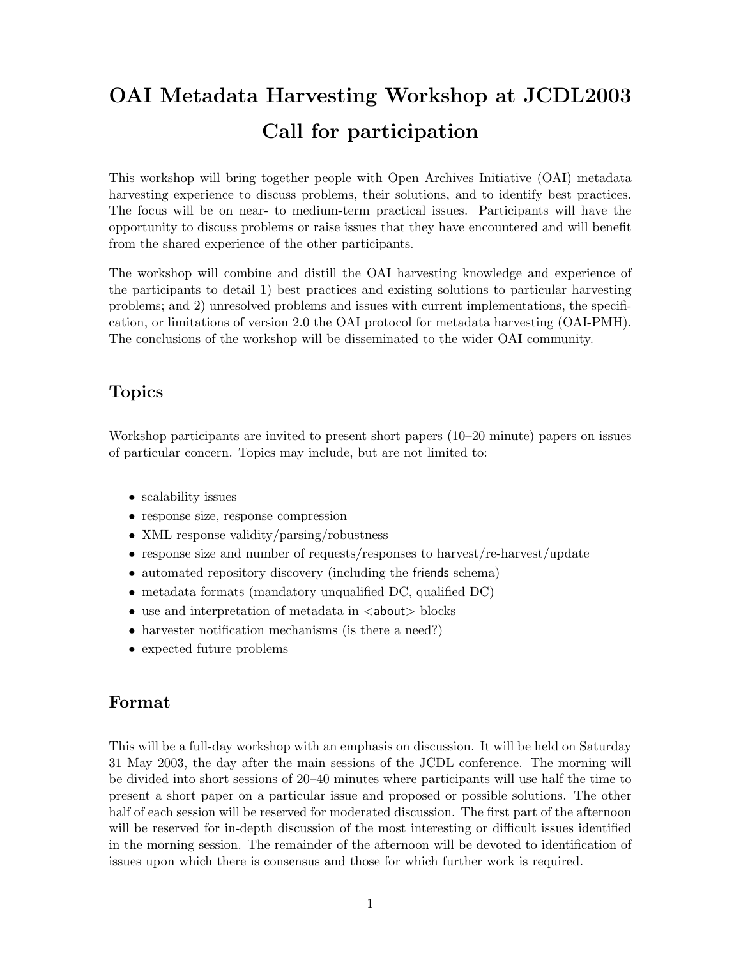# OAI Metadata Harvesting Workshop at JCDL2003 Call for participation

This workshop will bring together people with Open Archives Initiative (OAI) metadata harvesting experience to discuss problems, their solutions, and to identify best practices. The focus will be on near- to medium-term practical issues. Participants will have the opportunity to discuss problems or raise issues that they have encountered and will benefit from the shared experience of the other participants.

The workshop will combine and distill the OAI harvesting knowledge and experience of the participants to detail 1) best practices and existing solutions to particular harvesting problems; and 2) unresolved problems and issues with current implementations, the specification, or limitations of version 2.0 the OAI protocol for metadata harvesting (OAI-PMH). The conclusions of the workshop will be disseminated to the wider OAI community.

### Topics

Workshop participants are invited to present short papers (10–20 minute) papers on issues of particular concern. Topics may include, but are not limited to:

- scalability issues
- response size, response compression
- XML response validity/parsing/robustness
- response size and number of requests/responses to harvest/re-harvest/update
- automated repository discovery (including the friends schema)
- metadata formats (mandatory unqualified DC, qualified DC)
- $\bullet$  use and interpretation of metadata in  $\lt$  about  $\gt$  blocks
- harvester notification mechanisms (is there a need?)
- expected future problems

#### Format

This will be a full-day workshop with an emphasis on discussion. It will be held on Saturday 31 May 2003, the day after the main sessions of the JCDL conference. The morning will be divided into short sessions of 20–40 minutes where participants will use half the time to present a short paper on a particular issue and proposed or possible solutions. The other half of each session will be reserved for moderated discussion. The first part of the afternoon will be reserved for in-depth discussion of the most interesting or difficult issues identified in the morning session. The remainder of the afternoon will be devoted to identification of issues upon which there is consensus and those for which further work is required.